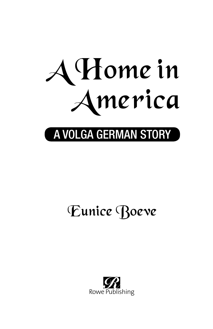

## A VOLGA GERMAN STORY

# Eunice Boeve

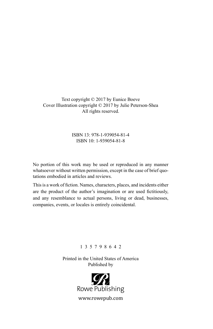Text copyright © 2017 by Eunice Boeve Cover Illustration copyright © 2017 by Julie Peterson-Shea All rights reserved.

#### ISBN 13: 978-1-939054-81-4 ISBN 10: 1-939054-81-8

No portion of this work may be used or reproduced in any manner whatsoever without written permission, except in the case of brief quotations embodied in articles and reviews.

This is a work of fiction. Names, characters, places, and incidents either are the product of the author's imagination or are used fictitiously, and any resemblance to actual persons, living or dead, businesses, companies, events, or locales is entirely coincidental.

#### 1 3 5 7 9 8 6 4 2

Printed in the United States of America Published by

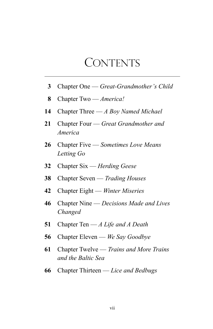### **CONTENTS**

- Chapter One — *Great-Grandmother's Child*
- Chapter Two — *America!*
- Chapter Three — *A Boy Named Michael*
- Chapter Four — *Great Grandmother and America*
- Chapter Five — *Sometimes Love Means Letting Go*
- Chapter Six — *Herding Geese*
- Chapter Seven — *Trading Houses*
- Chapter Eight — *Winter Miseries*
- Chapter Nine — *Decisions Made and Lives Changed*
- Chapter Ten — *A Life and A Death*
- Chapter Eleven — *We Say Goodbye*
- Chapter Twelve — *Trains and More Trains and the Baltic Sea*
- Chapter Thirteen — *Lice and Bedbugs*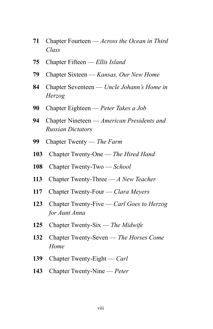- Chapter Fourteen — *Across the Ocean in Third Class*
- Chapter Fifteen — *Ellis Island*
- Chapter Sixteen — *Kansas, Our New Home*
- Chapter Seventeen — *Uncle Johann's Home in Herzog*
- Chapter Eighteen — *Peter Takes a Job*
- Chapter Nineteen — *American Presidents and Russian Dictators*
- Chapter Twenty — *The Farm*
- Chapter Twenty-One — *The Hired Hand*
- Chapter Twenty-Two — *School*
- Chapter Twenty-Three — *A New Teacher*
- Chapter Twenty-Four — *Clara Meyers*
- Chapter Twenty-Five — *Carl Goes to Herzog for Aunt Anna*
- Chapter Twenty-Six — *The Midwife*
- Chapter Twenty-Seven — *The Horses Come Home*
- Chapter Twenty-Eight Carl
- Chapter Twenty-Nine — *Peter*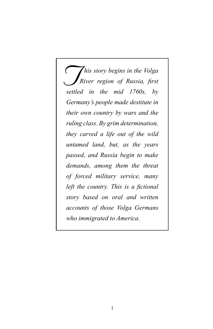*his story begins in the Volga River region of Russia, first settled in the mid 1760s, by history begins in the Volga Germany's people made destitute in their own country by wars and the ruling class. By grim determination, they carved a life out of the wild untamed land, but, as the years passed, and Russia begin to make demands, among them the threat of forced military service, many left the country. This is a fictional story based on oral and written accounts of those Volga Germans who immigrated to America.*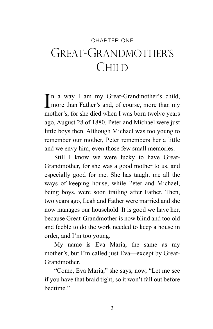## CHAPTER ONE Great-Grandmother's **CHILD**

I n a way I am my Great-Grandmother's child, more than Father's and, of course, more than my mother's, for she died when I was born twelve years ago, August 28 of 1880. Peter and Michael were just little boys then. Although Michael was too young to remember our mother, Peter remembers her a little and we envy him, even those few small memories.

Still I know we were lucky to have Great-Grandmother, for she was a good mother to us, and especially good for me. She has taught me all the ways of keeping house, while Peter and Michael, being boys, were soon trailing after Father. Then, two years ago, Leah and Father were married and she now manages our household. It is good we have her, because Great-Grandmother is now blind and too old and feeble to do the work needed to keep a house in order, and I'm too young.

My name is Eva Maria, the same as my mother's, but I'm called just Eva—except by Great-Grandmother.

"Come, Eva Maria," she says, now, "Let me see if you have that braid tight, so it won't fall out before hedtime<sup>"</sup>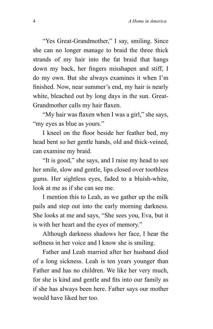"Yes Great-Grandmother," I say, smiling. Since she can no longer manage to braid the three thick strands of my hair into the fat braid that hangs down my back, her fingers misshapen and stiff, I do my own. But she always examines it when I'm finished. Now, near summer's end, my hair is nearly white, bleached out by long days in the sun. Great-Grandmother calls my hair flaxen.

"My hair was flaxen when I was a girl," she says, "my eyes as blue as yours."

I kneel on the floor beside her feather bed, my head bent so her gentle hands, old and thick-veined, can examine my braid.

"It is good," she says, and I raise my head to see her smile, slow and gentle, lips closed over toothless gums. Her sightless eyes, faded to a bluish-white, look at me as if she can see me.

I mention this to Leah, as we gather up the milk pails and step out into the early morning darkness. She looks at me and says, "She sees you, Eva, but it is with her heart and the eyes of memory."

Although darkness shadows her face, I hear the softness in her voice and I know she is smiling.

Father and Leah married after her husband died of a long sickness. Leah is ten years younger than Father and has no children. We like her very much, for she is kind and gentle and fits into our family as if she has always been here. Father says our mother would have liked her too.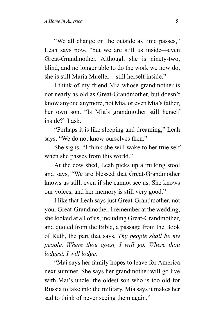"We all change on the outside as time passes," Leah says now, "but we are still us inside—even Great-Grandmother. Although she is ninety-two, blind, and no longer able to do the work we now do, she is still Maria Mueller—still herself inside."

I think of my friend Mia whose grandmother is not nearly as old as Great-Grandmother, but doesn't know anyone anymore, not Mia, or even Mia's father, her own son. "Is Mia's grandmother still herself inside?" I ask.

"Perhaps it is like sleeping and dreaming," Leah says. "We do not know ourselves then."

She sighs. "I think she will wake to her true self when she passes from this world."

At the cow shed, Leah picks up a milking stool and says, "We are blessed that Great-Grandmother knows us still, even if she cannot see us. She knows our voices, and her memory is still very good."

I like that Leah says just Great-Grandmother, not your Great-Grandmother. I remember at the wedding, she looked at all of us, including Great-Grandmother, and quoted from the Bible, a passage from the Book of Ruth, the part that says, *Thy people shall be my people. Where thou goest, I will go. Where thou lodgest, I will lodge.*

"Mai says her family hopes to leave for America next summer. She says her grandmother will go live with Mai's uncle, the oldest son who is too old for Russia to take into the military. Mia says it makes her sad to think of never seeing them again."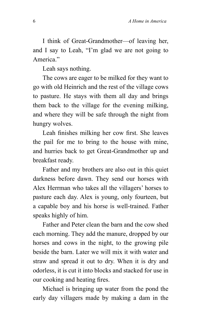I think of Great-Grandmother—of leaving her, and I say to Leah, "I'm glad we are not going to America."

Leah says nothing.

The cows are eager to be milked for they want to go with old Heinrich and the rest of the village cows to pasture. He stays with them all day and brings them back to the village for the evening milking, and where they will be safe through the night from hungry wolves.

Leah finishes milking her cow first. She leaves the pail for me to bring to the house with mine, and hurries back to get Great-Grandmother up and breakfast ready.

Father and my brothers are also out in this quiet darkness before dawn. They send our horses with Alex Herrman who takes all the villagers' horses to pasture each day. Alex is young, only fourteen, but a capable boy and his horse is well-trained. Father speaks highly of him.

Father and Peter clean the barn and the cow shed each morning. They add the manure, dropped by our horses and cows in the night, to the growing pile beside the barn. Later we will mix it with water and straw and spread it out to dry. When it is dry and odorless, it is cut it into blocks and stacked for use in our cooking and heating fires.

Michael is bringing up water from the pond the early day villagers made by making a dam in the